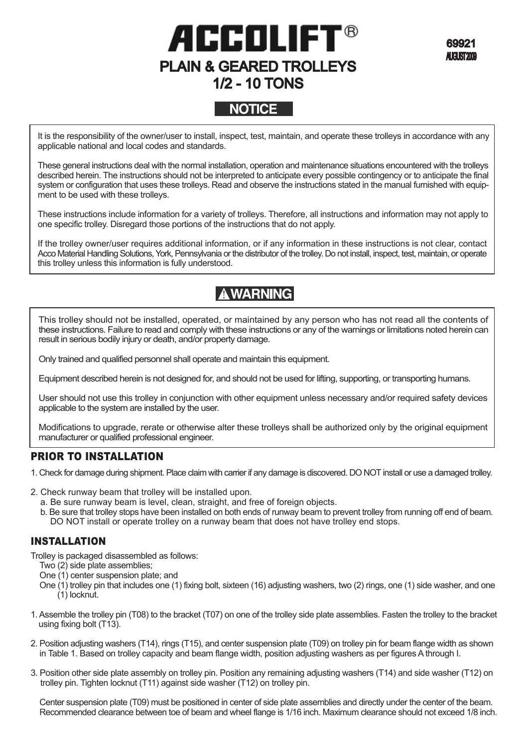# ACCOLIF1 PLAIN & GEARED TROLLEYS 1/2 - 10 TONS

69921 **AUGUST2009** 

## **NOTICE**

It is the responsibility of the owner/user to install, inspect, test, maintain, and operate these trolleys in accordance with any applicable national and local codes and standards.

These general instructions deal with the normal installation, operation and maintenance situations encountered with the trolleys described herein. The instructions should not be interpreted to anticipate every possible contingency or to anticipate the final system or configuration that uses these trolleys. Read and observe the instructions stated in the manual furnished with equipment to be used with these trolleys.

These instructions include information for a variety of trolleys. Therefore, all instructions and information may not apply to one specific trolley. Disregard those portions of the instructions that do not apply.

If the trolley owner/user requires additional information, or if any information in these instructions is not clear, contact Acco Material Handling Solutions, York, Pennsylvania or the distributor of the trolley. Do not install, inspect, test, maintain, or operate this trolley unless this information is fully understood.

## **AWARNING**

This trolley should not be installed, operated, or maintained by any person who has not read all the contents of these instructions. Failure to read and comply with these instructions or any of the warnings or limitations noted herein can result in serious bodily injury or death, and/or property damage.

Only trained and qualified personnel shall operate and maintain this equipment.

Equipment described herein is not designed for, and should not be used for lifting, supporting, or transporting humans.

User should not use this trolley in conjunction with other equipment unless necessary and/or required safety devices applicable to the system are installed by the user.

Modifications to upgrade, rerate or otherwise alter these trolleys shall be authorized only by the original equipment manufacturer or qualified professional engineer.

## PRIOR TO INSTALLATION

- 1. Check for damage during shipment. Place claim with carrier if any damage is discovered. DO NOT install or use a damaged trolley.
- 2. Check runway beam that trolley will be installed upon.
	- a. Be sure runway beam is level, clean, straight, and free of foreign objects.
	- b. Be sure that trolley stops have been installed on both ends of runway beam to prevent trolley from running off end of beam. DO NOT install or operate trolley on a runway beam that does not have trolley end stops.

### INSTALLATION

Trolley is packaged disassembled as follows:

- Two (2) side plate assemblies;
- One (1) center suspension plate; and
- One (1) trolley pin that includes one (1) fixing bolt, sixteen (16) adjusting washers, two (2) rings, one (1) side washer, and one (1) locknut.
- 1.Assemble the trolley pin (T08) to the bracket (T07) on one of the trolley side plate assemblies. Fasten the trolley to the bracket using fixing bolt (T13).
- 2. Position adjusting washers (T14), rings (T15), and center suspension plate (T09) on trolley pin for beam flange width as shown in Table 1. Based on trolley capacity and beam flange width, position adjusting washers as per figures A through I.
- 3. Position other side plate assembly on trolley pin. Position any remaining adjusting washers (T14) and side washer (T12) on trolley pin. Tighten locknut (T11) against side washer (T12) on trolley pin.

Center suspension plate (T09) must be positioned in center of side plate assemblies and directly under the center of the beam. Recommended clearance between toe of beam and wheel flange is 1/16 inch. Maximum clearance should not exceed 1/8 inch.